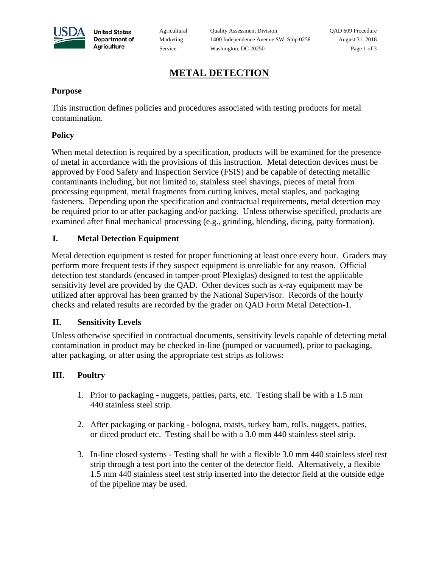

**United States** Department of Agriculture

Agricultural Quality Assessment Division QAD 609 Procedure Marketing 1400 Independence Avenue SW, Stop 0258 August 31, 2018 Service Washington, DC 20250 Page 1 of 3

# **METAL DETECTION**

### **Purpose**

This instruction defines policies and procedures associated with testing products for metal contamination.

## **Policy**

When metal detection is required by a specification, products will be examined for the presence of metal in accordance with the provisions of this instruction. Metal detection devices must be approved by Food Safety and Inspection Service (FSIS) and be capable of detecting metallic contaminants including, but not limited to, stainless steel shavings, pieces of metal from processing equipment, metal fragments from cutting knives, metal staples, and packaging fasteners. Depending upon the specification and contractual requirements, metal detection may be required prior to or after packaging and/or packing. Unless otherwise specified, products are examined after final mechanical processing (e.g., grinding, blending, dicing, patty formation).

## **I. Metal Detection Equipment**

Metal detection equipment is tested for proper functioning at least once every hour. Graders may perform more frequent tests if they suspect equipment is unreliable for any reason. Official detection test standards (encased in tamper-proof Plexiglas) designed to test the applicable sensitivity level are provided by the QAD. Other devices such as x-ray equipment may be utilized after approval has been granted by the National Supervisor. Records of the hourly checks and related results are recorded by the grader on QAD Form Metal Detection-1.

### **II. Sensitivity Levels**

Unless otherwise specified in contractual documents, sensitivity levels capable of detecting metal contamination in product may be checked in-line (pumped or vacuumed), prior to packaging, after packaging, or after using the appropriate test strips as follows:

# **III. Poultry**

- 1. Prior to packaging nuggets, patties, parts, etc. Testing shall be with a 1.5 mm 440 stainless steel strip.
- 2. After packaging or packing bologna, roasts, turkey ham, rolls, nuggets, patties, or diced product etc. Testing shall be with a 3.0 mm 440 stainless steel strip.
- 3. In-line closed systems Testing shall be with a flexible 3.0 mm 440 stainless steel test strip through a test port into the center of the detector field. Alternatively, a flexible 1.5 mm 440 stainless steel test strip inserted into the detector field at the outside edge of the pipeline may be used.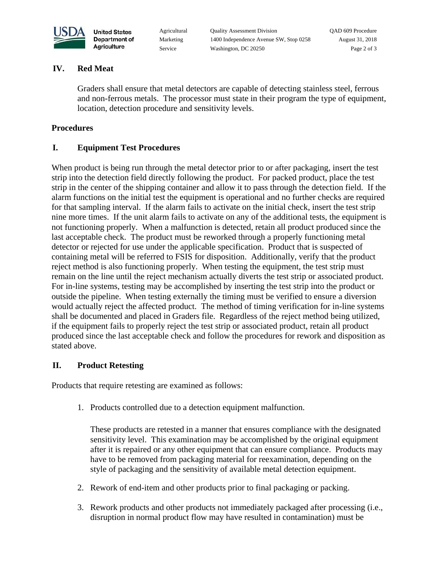

**United States** Department of Agriculture

Agricultural Quality Assessment Division QAD 609 Procedure Marketing 1400 Independence Avenue SW, Stop 0258 August 31, 2018 Service Washington, DC 20250 Page 2 of 3

### **IV. Red Meat**

Graders shall ensure that metal detectors are capable of detecting stainless steel, ferrous and non-ferrous metals. The processor must state in their program the type of equipment, location, detection procedure and sensitivity levels.

#### **Procedures**

### **I. Equipment Test Procedures**

When product is being run through the metal detector prior to or after packaging, insert the test strip into the detection field directly following the product. For packed product, place the test strip in the center of the shipping container and allow it to pass through the detection field. If the alarm functions on the initial test the equipment is operational and no further checks are required for that sampling interval. If the alarm fails to activate on the initial check, insert the test strip nine more times. If the unit alarm fails to activate on any of the additional tests, the equipment is not functioning properly. When a malfunction is detected, retain all product produced since the last acceptable check. The product must be reworked through a properly functioning metal detector or rejected for use under the applicable specification. Product that is suspected of containing metal will be referred to FSIS for disposition. Additionally, verify that the product reject method is also functioning properly. When testing the equipment, the test strip must remain on the line until the reject mechanism actually diverts the test strip or associated product. For in-line systems, testing may be accomplished by inserting the test strip into the product or outside the pipeline. When testing externally the timing must be verified to ensure a diversion would actually reject the affected product. The method of timing verification for in-line systems shall be documented and placed in Graders file. Regardless of the reject method being utilized, if the equipment fails to properly reject the test strip or associated product, retain all product produced since the last acceptable check and follow the procedures for rework and disposition as stated above.

### **II. Product Retesting**

Products that require retesting are examined as follows:

1. Products controlled due to a detection equipment malfunction.

These products are retested in a manner that ensures compliance with the designated sensitivity level. This examination may be accomplished by the original equipment after it is repaired or any other equipment that can ensure compliance. Products may have to be removed from packaging material for reexamination, depending on the style of packaging and the sensitivity of available metal detection equipment.

- 2. Rework of end-item and other products prior to final packaging or packing.
- 3. Rework products and other products not immediately packaged after processing (i.e., disruption in normal product flow may have resulted in contamination) must be